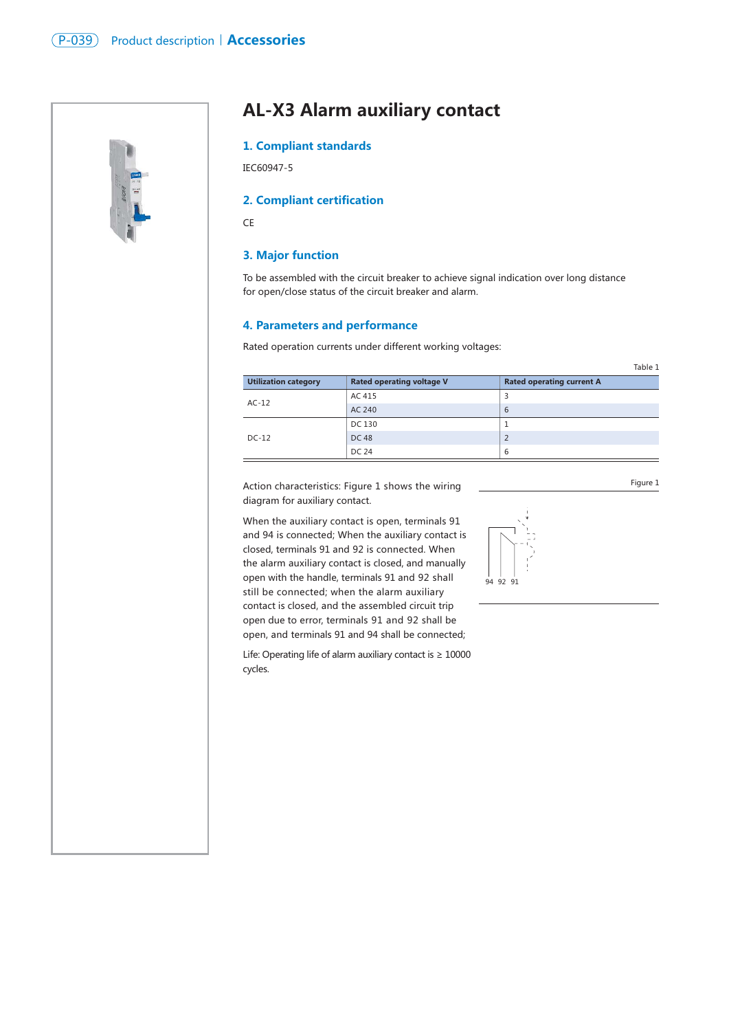

# **AL-X3 Alarm auxiliary contact**

### **1. Compliant standards**

IEC60947-5

### **2. Compliant certification**

**CE** 

### **3. Major function**

To be assembled with the circuit breaker to achieve signal indication over long distance for open/close status of the circuit breaker and alarm.

#### **4. Parameters and performance**

Rated operation currents under different working voltages:

|                             |                                  | Table 1                          |
|-----------------------------|----------------------------------|----------------------------------|
| <b>Utilization category</b> | <b>Rated operating voltage V</b> | <b>Rated operating current A</b> |
| $AC-12$                     | AC 415                           | 3                                |
|                             | AC 240                           | 6                                |
| $DC-12$                     | DC 130                           |                                  |
|                             | DC 48                            | $\overline{2}$                   |
|                             | DC 24                            | 6                                |

Action characteristics: Figure 1 shows the wiring diagram for auxiliary contact.

When the auxiliary contact is open, terminals 91 and 94 is connected; When the auxiliary contact is closed, terminals 91 and 92 is connected. When the alarm auxiliary contact is closed, and manually open with the handle, terminals 91 and 92 shall still be connected; when the alarm auxiliary contact is closed, and the assembled circuit trip open due to error, terminals 91 and 92 shall be open, and terminals 91 and 94 shall be connected;

Life: Operating life of alarm auxiliary contact is ≥ 10000 cycles.



Figure 1